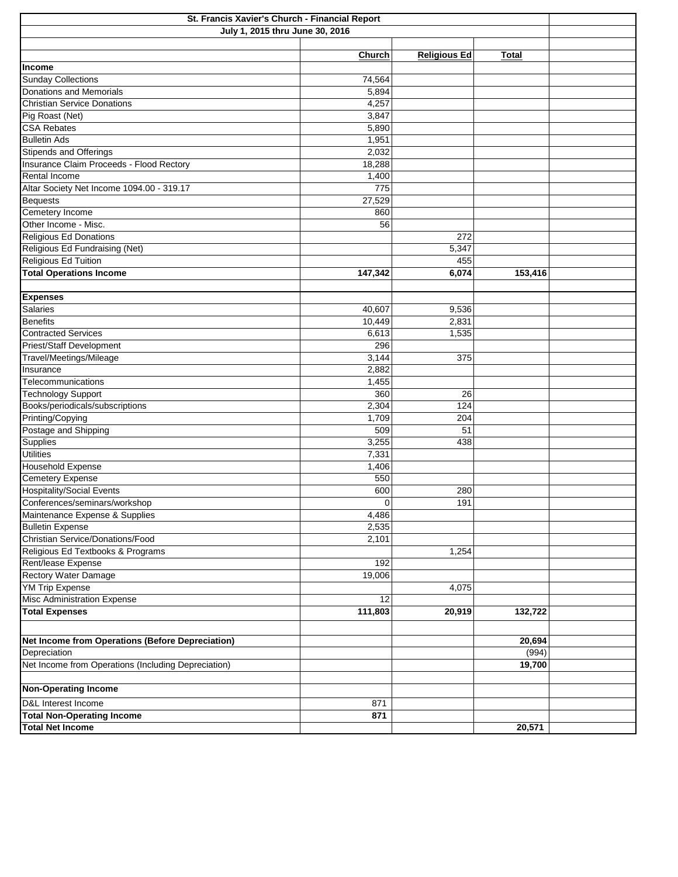| St. Francis Xavier's Church - Financial Report      |         |                     |              |  |  |
|-----------------------------------------------------|---------|---------------------|--------------|--|--|
| July 1, 2015 thru June 30, 2016                     |         |                     |              |  |  |
|                                                     |         |                     |              |  |  |
|                                                     | Church  | <b>Religious Ed</b> | <b>Total</b> |  |  |
| Income                                              |         |                     |              |  |  |
| <b>Sunday Collections</b>                           | 74,564  |                     |              |  |  |
| Donations and Memorials                             | 5,894   |                     |              |  |  |
| Christian Service Donations                         | 4,257   |                     |              |  |  |
| Pig Roast (Net)                                     | 3,847   |                     |              |  |  |
| <b>CSA Rebates</b>                                  | 5,890   |                     |              |  |  |
| <b>Bulletin Ads</b>                                 | 1,951   |                     |              |  |  |
| <b>Stipends and Offerings</b>                       | 2,032   |                     |              |  |  |
| Insurance Claim Proceeds - Flood Rectory            | 18,288  |                     |              |  |  |
| Rental Income                                       | 1,400   |                     |              |  |  |
| Altar Society Net Income 1094.00 - 319.17           | 775     |                     |              |  |  |
| <b>Bequests</b>                                     | 27,529  |                     |              |  |  |
| Cemetery Income                                     | 860     |                     |              |  |  |
| Other Income - Misc.                                | 56      |                     |              |  |  |
| Religious Ed Donations                              |         | 272                 |              |  |  |
| Religious Ed Fundraising (Net)                      |         | 5,347               |              |  |  |
| Religious Ed Tuition                                |         | 455                 |              |  |  |
| <b>Total Operations Income</b>                      |         |                     |              |  |  |
|                                                     | 147,342 | 6,074               | 153,416      |  |  |
|                                                     |         |                     |              |  |  |
| <b>Expenses</b><br><b>Salaries</b>                  |         |                     |              |  |  |
| <b>Benefits</b>                                     | 40,607  | 9,536               |              |  |  |
|                                                     | 10,449  | 2,831               |              |  |  |
| <b>Contracted Services</b>                          | 6,613   | 1,535               |              |  |  |
| Priest/Staff Development                            | 296     |                     |              |  |  |
| Travel/Meetings/Mileage                             | 3,144   | 375                 |              |  |  |
| Insurance                                           | 2,882   |                     |              |  |  |
| Telecommunications                                  | 1,455   |                     |              |  |  |
| <b>Technology Support</b>                           | 360     | 26                  |              |  |  |
| Books/periodicals/subscriptions                     | 2,304   | 124                 |              |  |  |
| Printing/Copying                                    | 1,709   | 204                 |              |  |  |
| Postage and Shipping                                | 509     | 51                  |              |  |  |
| Supplies                                            | 3,255   | 438                 |              |  |  |
| <b>Utilities</b>                                    | 7,331   |                     |              |  |  |
| Household Expense                                   | 1,406   |                     |              |  |  |
| <b>Cemetery Expense</b>                             | 550     |                     |              |  |  |
| <b>Hospitality/Social Events</b>                    | 600     | 280                 |              |  |  |
| Conferences/seminars/workshop                       | 0       | 191                 |              |  |  |
| Maintenance Expense & Supplies                      | 4,486   |                     |              |  |  |
| <b>Bulletin Expense</b>                             | 2,535   |                     |              |  |  |
| Christian Service/Donations/Food                    | 2,101   |                     |              |  |  |
| Religious Ed Textbooks & Programs                   |         | 1,254               |              |  |  |
| Rent/lease Expense                                  | 192     |                     |              |  |  |
| <b>Rectory Water Damage</b>                         | 19,006  |                     |              |  |  |
| <b>YM Trip Expense</b>                              |         | 4,075               |              |  |  |
| <b>Misc Administration Expense</b>                  | 12      |                     |              |  |  |
| <b>Total Expenses</b>                               | 111,803 | 20,919              | 132,722      |  |  |
|                                                     |         |                     |              |  |  |
| Net Income from Operations (Before Depreciation)    |         |                     | 20,694       |  |  |
| Depreciation                                        |         |                     | (994)        |  |  |
|                                                     |         |                     |              |  |  |
| Net Income from Operations (Including Depreciation) |         |                     | 19,700       |  |  |
|                                                     |         |                     |              |  |  |
| <b>Non-Operating Income</b>                         |         |                     |              |  |  |
| D&L Interest Income                                 | 871     |                     |              |  |  |
| <b>Total Non-Operating Income</b>                   | 871     |                     |              |  |  |
| <b>Total Net Income</b>                             |         |                     | 20,571       |  |  |